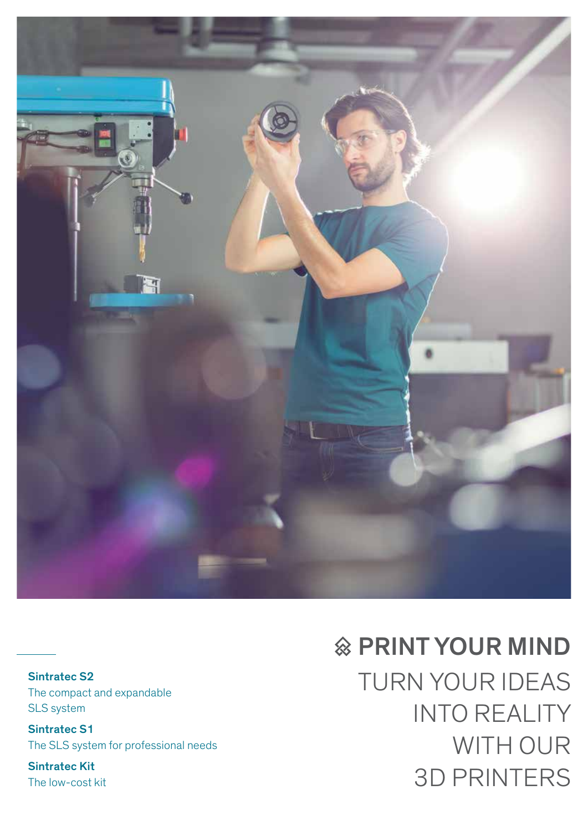

Sintratec S2 The compact and expandable SLS system

Sintratec S1 The SLS system for professional needs

Sintratec Kit The low-cost kit

# $\otimes$  PRINT YOUR MIND TURN YOUR IDEAS INTO REALITY WITH OUR 3D PRINTERS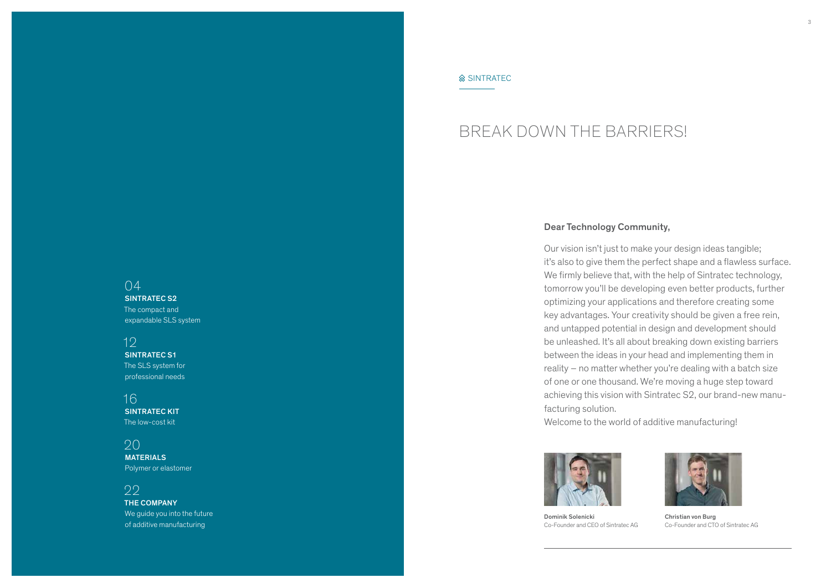#### SINTRATEC

### Dear Technology Community,

Our vision isn't just to make your design ideas tangible; it's also to give them the perfect shape and a flawless surface. We firmly believe that, with the help of Sintratec technology, tomorrow you'll be developing even better products, further optimizing your applications and therefore creating some key advantages. Your creativity should be given a free rein, and untapped potential in design and development should be unleashed. It's all about breaking down existing barriers between the ideas in your head and implementing them in reality – no matter whether you're dealing with a batch size of one or one thousand. We're moving a huge step toward achieving this vision with Sintratec S2, our brand-new manufacturing solution. Welcome to the world of additive manufacturing!



# BREAK DOWN THE BARRIERS!

### 04 SINTRATEC S2

The compact and expandable SLS system

### 12

SINTRATEC S1 The SLS system for professional needs

### 16 SINTRATEC KIT The low-cost kit

20 MATERIALS Polymer or elastomer

### 22

THE COMPANY We guide you into the future of additive manufacturing



Christian von Burg Co-Founder and CTO of Sintratec AG

Dominik Solenicki Co-Founder and CEO of Sintratec AG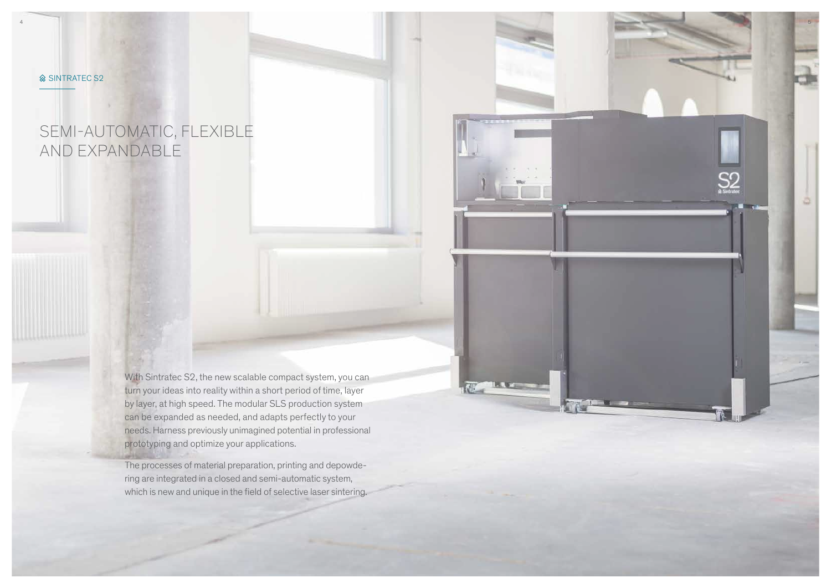

<sup>⊗</sup> SINTRATEC S2

### SEMI-AUTOMATIC, FLEXIBLE AND EXPANDABLE

With Sintratec S2, the new scalable compact system, you can turn your ideas into reality within a short period of time, layer by layer, at high speed. The modular SLS production system can be expanded as needed, and adapts perfectly to your needs. Harness previously unimagined potential in professional prototyping and optimize your applications.

The processes of material preparation, printing and depowdering are integrated in a closed and semi-automatic system, which is new and unique in the field of selective laser sintering.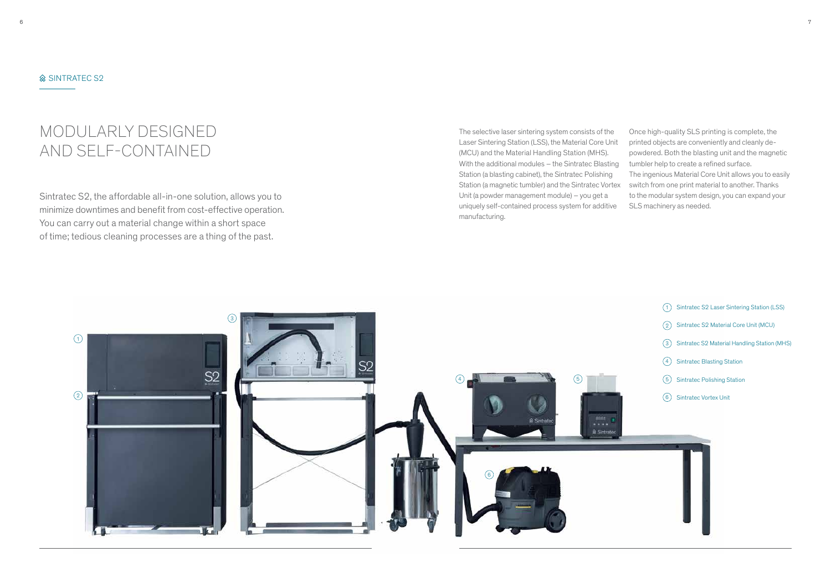Sintratec S2, the affordable all-in-one solution, allows you to minimize downtimes and benefit from cost-effective operation. You can carry out a material change within a short space of time; tedious cleaning processes are a thing of the past.

#### $\otimes$  SINTRATEC S2

## MODULARLY DESIGNED AND SELF-CONTAINED

The selective laser sintering system consists of the Laser Sintering Station (LSS), the Material Core Unit (MCU) and the Material Handling Station (MHS). With the additional modules – the Sintratec Blasting Station (a blasting cabinet), the Sintratec Polishing Station (a magnetic tumbler) and the Sintratec Vortex Unit (a powder management module) – you get a uniquely self-contained process system for additive manufacturing.

- 1) Sintratec S2 Laser Sintering Station (LSS)
- 2) Sintratec S2 Material Core Unit (MCU)
- 3) Sintratec S2 Material Handling Station (MHS)
- 4 Sintratec Blasting Station
- 5 Sintratec Polishing Station
- 6 Sintratec Vortex Unit

Once high-quality SLS printing is complete, the printed objects are conveniently and cleanly depowdered. Both the blasting unit and the magnetic tumbler help to create a refined surface. The ingenious Material Core Unit allows you to easily switch from one print material to another. Thanks to the modular system design, you can expand your SLS machinery as needed.

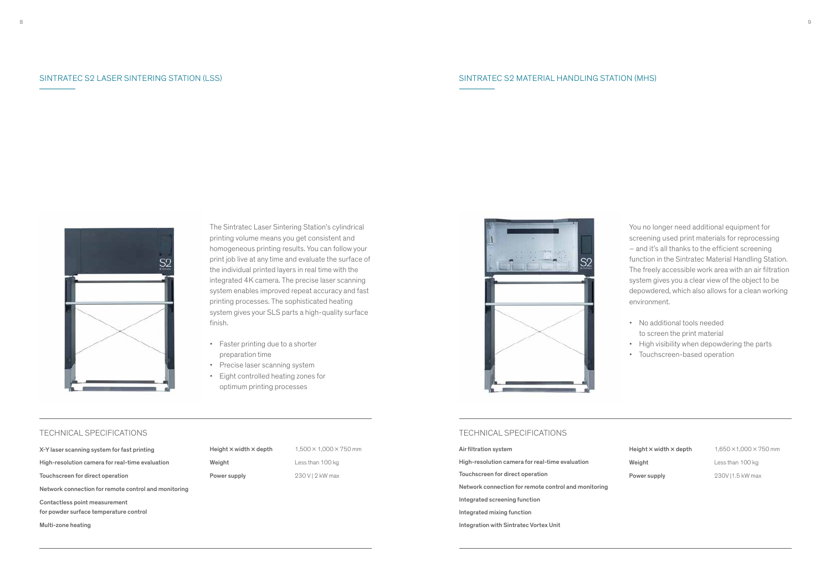#### SINTRATEC S2 LASER SINTERING STATION (LSS) SINTRATEC S2 MATERIAL HANDLING STATION (MHS)



X-Y laser scanning system for fast printing High-resolution camera for real-time evaluation Touchscreen for direct operation Network connection for remote control and monitoring Contactless point measurement for powder surface temperature control

Multi-zone heating

Weight Less than 100 kg Power supply 230 V | 2 kW max

Height  $\times$  width  $\times$  depth  $1,500 \times 1,000 \times 750$  mm

The Sintratec Laser Sintering Station's cylindrical printing volume means you get consistent and homogeneous printing results. You can follow your print job live at any time and evaluate the surface of the individual printed layers in real time with the integrated 4K camera. The precise laser scanning system enables improved repeat accuracy and fast printing processes. The sophisticated heating system gives your SLS parts a high-quality surface finish.

- Faster printing due to a shorter preparation time
- Precise laser scanning system
- Eight controlled heating zones for optimum printing processes



You no longer need additional equipment for screening used print materials for reprocessing – and it's all thanks to the efficient screening function in the Sintratec Material Handling Station. The freely accessible work area with an air filtration system gives you a clear view of the object to be depowdered, which also allows for a clean working environment.

- No additional tools needed to screen the print material
- High visibility when depowdering the parts
- Touchscreen-based operation

Weight Less than 100 kg Power supply 230V | 1.5 kW max

Height  $\times$  width  $\times$  depth  $1,650 \times 1,000 \times 750$  mm

Air filtration system High-resolution camera for real-time evaluation Touchscreen for direct operation Network connection for remote control and monitoring Integrated screening function Integrated mixing function

Integration with Sintratec Vortex Unit

#### TECHNICAL SPECIFICATIONS TECHNICAL SPECIFICATIONS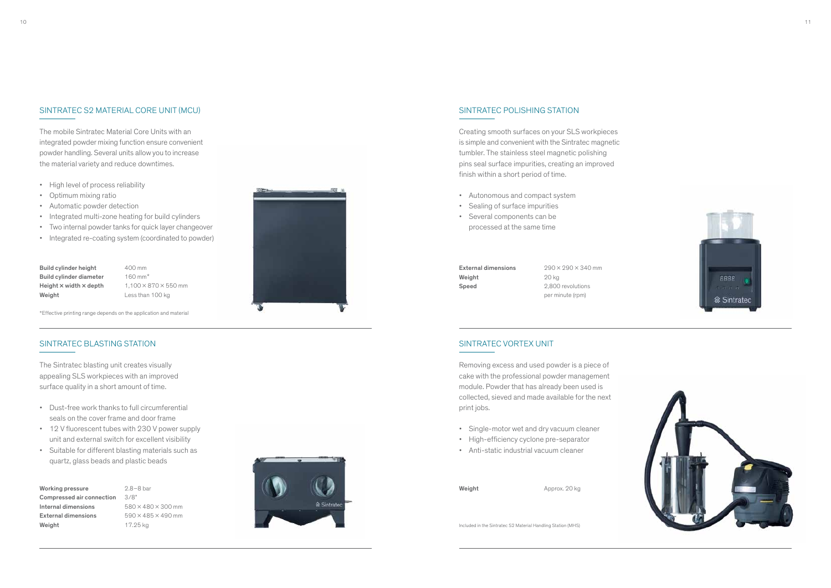#### SINTRATEC BLASTING STATION

The Sintratec blasting unit creates visually appealing SLS workpieces with an improved surface quality in a short amount of time.

- Dust-free work thanks to full circumferential seals on the cover frame and door frame
- 12 V fluorescent tubes with 230 V power supply unit and external switch for excellent visibility
- Suitable for different blasting materials such as quartz, glass beads and plastic beads

#### SINTRATEC S2 MATERIAL CORE UNIT (MCU)

The mobile Sintratec Material Core Units with an integrated powder mixing function ensure convenient powder handling. Several units allow you to increase the material variety and reduce downtimes.

- High level of process reliability
- Optimum mixing ratio
- Automatic powder detection
- Integrated multi-zone heating for build cylinders
- Two internal powder tanks for quick layer changeover
- Integrated re-coating system (coordinated to powder)

 $870 \times 550$  mm

External dimensions  $290 \times 290 \times 340$  mm Speed 2,800 revolutions per minute (rpm)

### SINTRATEC POLISHING STATION

Creating smooth surfaces on your SLS workpieces is simple and convenient with the Sintratec magnetic tumbler. The stainless steel magnetic polishing pins seal surface impurities, creating an improved finish within a short period of time.

- Autonomous and compact system
- Sealing of surface impurities
- Several components can be processed at the same time

Weight 20 kg

\*Effective printing range depends on the application and material

| Build cylinder height                | 400 mm                       |
|--------------------------------------|------------------------------|
| Build cylinder diameter              | $160$ mm <sup>*</sup>        |
| Height $\times$ width $\times$ depth | $1.100 \times 870 \times 55$ |
| Weight                               | Less than 100 kg             |

| <b>Working pressure</b>    | $28-$ |
|----------------------------|-------|
| Compressed air connection  | 3/8"  |
| Internal dimensions        | 580   |
| <b>External dimensions</b> | 590   |
| Weight                     | 17.2  |
|                            |       |

-8 bar  $1 \times 480 \times 300$  mm  $\times$  485  $\times$  490 mm  $25$  kg



Included in the Sintratec S2 Material Handling Station (MHS)





### SINTRATEC VORTEX UNIT

Removing excess and used powder is a piece of cake with the professional powder management module. Powder that has already been used is collected, sieved and made available for the next print jobs.

- Single-motor wet and dry vacuum cleaner
- High-efficiency cyclone pre-separator
- Anti-static industrial vacuum cleaner

Weight Approx. 20 kg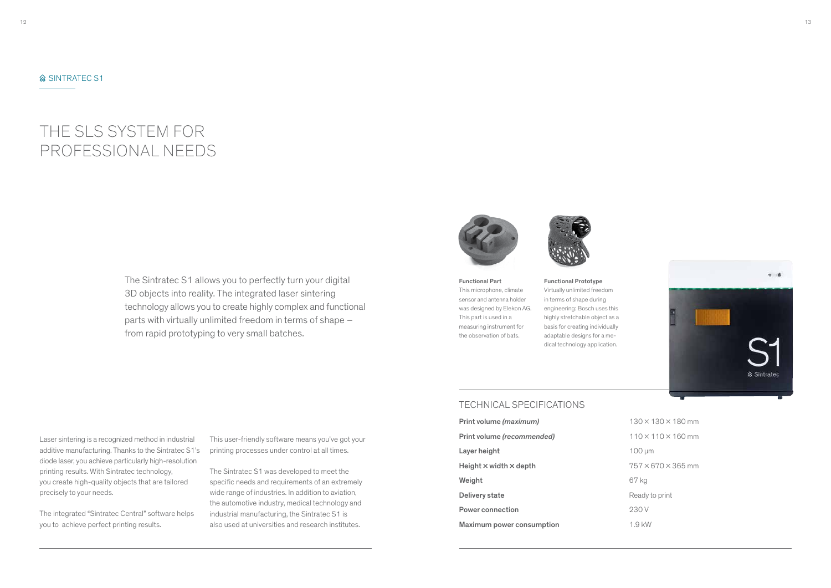- TECHNICAL SPECIFICATIONS
- Print volume *(maximum)* 130 x 130 x 180 mm Print volume *(recommended)* 110 x 110 x 160 mm Layer height 100 μm Height  $\times$  width  $\times$  depth  $757 \times 670 \times 365$  mm Weight 67 kg **Delivery state Delivery state** Ready to print Power connection 230 V Maximum power consumption 1.9 kW
- 
- 
- 
- 
- 
- 
- 
- 
- 
- 
- 
- 
- 
- 
- 
- 
- 
- 
- 

 $2.8$ 

# THE SLS SYSTEM FOR PROFESSIONAL NEEDS

#### Laser sintering is a recognized method in industrial additive manufacturing. Thanks to the Sintratec S1's diode laser, you achieve particularly high-resolution printing results. With Sintratec technology, you create high-quality objects that are tailored precisely to your needs.

The integrated "Sintratec Central" software helps you to achieve perfect printing results.

This user-friendly software means you've got your printing processes under control at all times.

The Sintratec S1 was developed to meet the specific needs and requirements of an extremely wide range of industries. In addition to aviation, the automotive industry, medical technology and industrial manufacturing, the Sintratec S1 is also used at universities and research institutes.

The Sintratec S1 allows you to perfectly turn your digital 3D objects into reality. The integrated laser sintering technology allows you to create highly complex and functional parts with virtually unlimited freedom in terms of shape – from rapid prototyping to very small batches.



#### Functional Prototype

Virtually unlimited freedom in terms of shape during engineering: Bosch uses this highly stretchable object as a basis for creating individually adaptable designs for a medical technology application.

Functional Part This microphone, climate sensor and antenna holder was designed by Elekon AG. This part is used in a measuring instrument for the observation of bats.

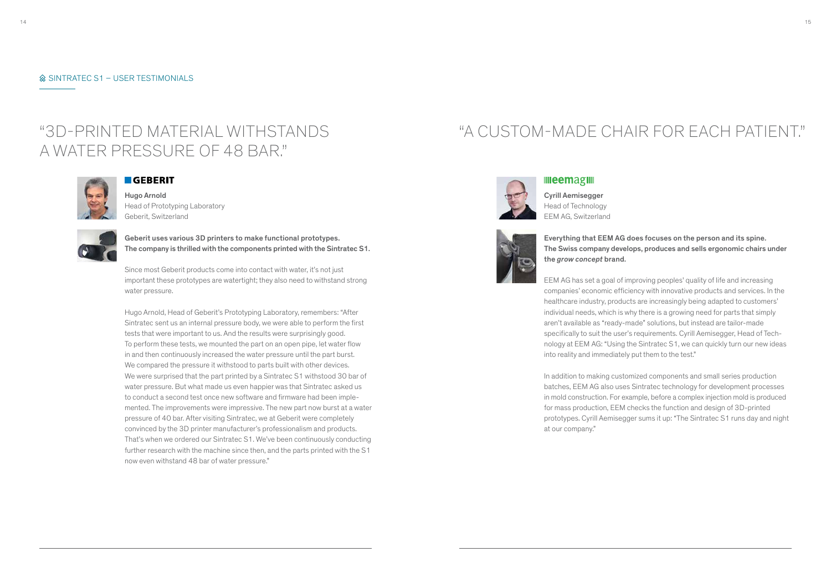Hugo Arnold Head of Prototyping Laboratory Geberit, Switzerland



## "3D-PRINTED MATERIAL WITHSTANDS A WATER PRESSURE OF 48 BAR."



### **EGEBERIT**

Cyrill Aemisegger Head of Technology EEM AG, Switzerland



Everything that EEM AG does focuses on the person and its spine. The Swiss company develops, produces and sells ergonomic chairs under the *grow concept* brand.

EEM AG has set a goal of improving peoples' quality of life and increasing companies' economic efficiency with innovative products and services. In the healthcare industry, products are increasingly being adapted to customers' individual needs, which is why there is a growing need for parts that simply aren't available as "ready-made" solutions, but instead are tailor-made specifically to suit the user's requirements. Cyrill Aemisegger, Head of Technology at EEM AG: "Using the Sintratec S1, we can quickly turn our new ideas into reality and immediately put them to the test."

In addition to making customized components and small series production batches, EEM AG also uses Sintratec technology for development processes in mold construction. For example, before a complex injection mold is produced for mass production, EEM checks the function and design of 3D-printed prototypes. Cyrill Aemisegger sums it up: "The Sintratec S1 runs day and night at our company."

# "A CUSTOM-MADE CHAIR FOR EACH PATIENT."



#### **IIIeemagilli**

#### SINTRATEC S1 – USER TESTIMONIALS

Geberit uses various 3D printers to make functional prototypes. The company is thrilled with the components printed with the Sintratec S1.

Since most Geberit products come into contact with water, it's not just important these prototypes are watertight; they also need to withstand strong water pressure.

Hugo Arnold, Head of Geberit's Prototyping Laboratory, remembers: "After Sintratec sent us an internal pressure body, we were able to perform the first tests that were important to us. And the results were surprisingly good. To perform these tests, we mounted the part on an open pipe, let water flow in and then continuously increased the water pressure until the part burst. We compared the pressure it withstood to parts built with other devices. We were surprised that the part printed by a Sintratec S1 withstood 30 bar of water pressure. But what made us even happier was that Sintratec asked us to conduct a second test once new software and firmware had been implemented. The improvements were impressive. The new part now burst at a water pressure of 40 bar. After visiting Sintratec, we at Geberit were completely convinced by the 3D printer manufacturer's professionalism and products. That's when we ordered our Sintratec S1. We've been continuously conducting further research with the machine since then, and the parts printed with the S1 now even withstand 48 bar of water pressure."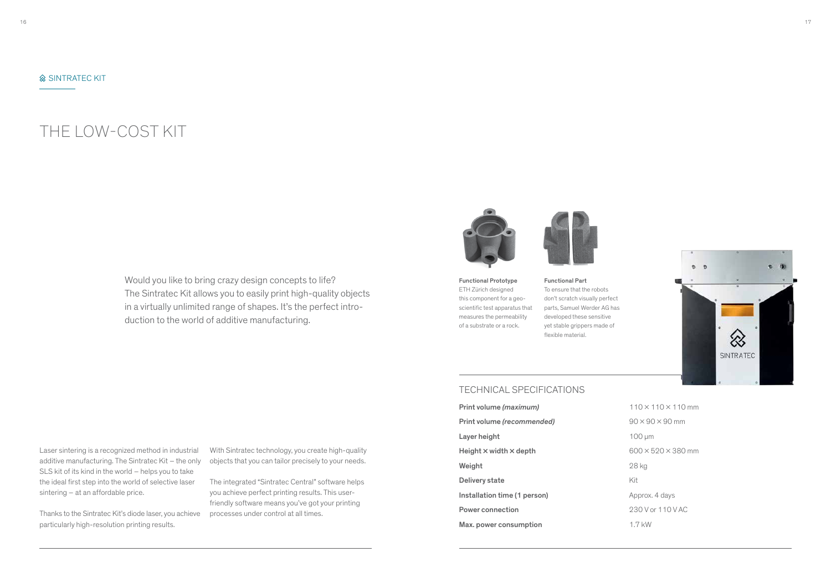#### **& SINTRATEC KIT**

### THE LOW-COST KIT

#### TECHNICAL SPECIFICATIONS

- Print volume *(recommended)* 90 × 90 × 90 mm
- Layer height 100 μm
- 
- Weight 28 kg
- Delivery state Kit
- Installation time (1 person) Approx. 4 days
- 
- Max. power consumption 1.7 kW

Laser sintering is a recognized method in industrial additive manufacturing. The Sintratec Kit – the only SLS kit of its kind in the world – helps you to take the ideal first step into the world of selective laser sintering – at an affordable price.

Thanks to the Sintratec Kit's diode laser, you achieve particularly high-resolution printing results.

With Sintratec technology, you create high-quality objects that you can tailor precisely to your needs.

The integrated "Sintratec Central" software helps you achieve perfect printing results. This userfriendly software means you've got your printing processes under control at all times.



- Print volume *(maximum)* 110 x 110 x 110 mm
	-
	-
- Height  $\times$  width  $\times$  depth 600  $\times$  520  $\times$  380 mm
	-
	-
	-
- Power connection 230 V or 110 V AC
	-

Functional Prototype ETH Zürich designed this component for a geoscientific test apparatus that measures the permeability of a substrate or a rock.

Functional Part To ensure that the robots don't scratch visually perfect parts, Samuel Werder AG has developed these sensitive yet stable grippers made of flexible material.

Would you like to bring crazy design concepts to life? The Sintratec Kit allows you to easily print high-quality objects in a virtually unlimited range of shapes. It's the perfect introduction to the world of additive manufacturing.



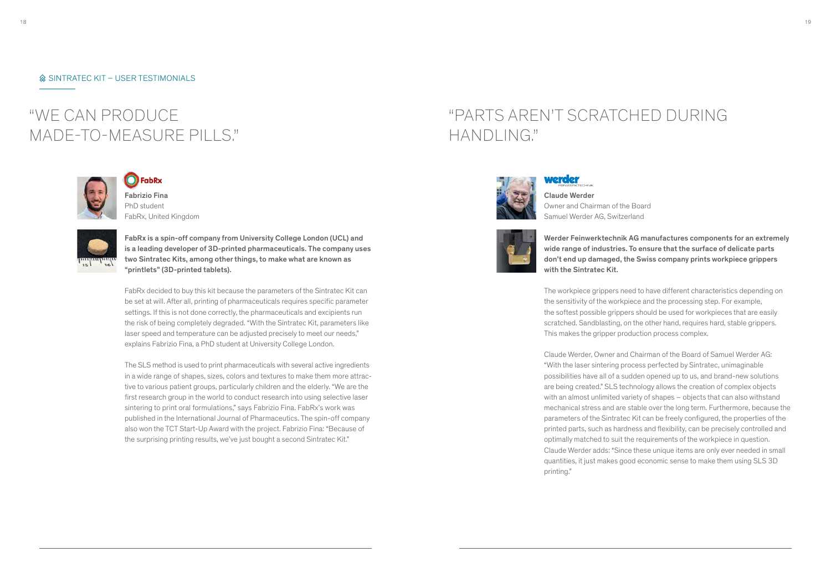Fabrizio Fina PhD student FabRx, United Kingdom



FabRx is a spin-off company from University College London (UCL) and is a leading developer of 3D-printed pharmaceuticals. The company uses two Sintratec Kits, among other things, to make what are known as "printlets" (3D-printed tablets).

FabRx decided to buy this kit because the parameters of the Sintratec Kit can be set at will. After all, printing of pharmaceuticals requires specific parameter settings. If this is not done correctly, the pharmaceuticals and excipients run the risk of being completely degraded. "With the Sintratec Kit, parameters like laser speed and temperature can be adjusted precisely to meet our needs," explains Fabrizio Fina, a PhD student at University College London.

The SLS method is used to print pharmaceuticals with several active ingredients in a wide range of shapes, sizes, colors and textures to make them more attractive to various patient groups, particularly children and the elderly. "We are the first research group in the world to conduct research into using selective laser sintering to print oral formulations," says Fabrizio Fina. FabRx's work was published in the International Journal of Pharmaceutics. The spin-off company also won the TCT Start-Up Award with the project. Fabrizio Fina: "Because of the surprising printing results, we've just bought a second Sintratec Kit."

 $\otimes$  SINTRATEC KIT – USER TESTIMONIALS

### "WE CAN PRODUCE MADE-TO-MEASURE PILLS."



### **O**FabRx

## "PARTS AREN'T SCRATCHED DURING HANDLING."



### verder

Claude Werder Owner and Chairman of the Board Samuel Werder AG, Switzerland



Werder Feinwerktechnik AG manufactures components for an extremely wide range of industries. To ensure that the surface of delicate parts don't end up damaged, the Swiss company prints workpiece grippers

with the Sintratec Kit.

The workpiece grippers need to have different characteristics depending on the sensitivity of the workpiece and the processing step. For example, the softest possible grippers should be used for workpieces that are easily scratched. Sandblasting, on the other hand, requires hard, stable grippers. This makes the gripper production process complex.

Claude Werder, Owner and Chairman of the Board of Samuel Werder AG: "With the laser sintering process perfected by Sintratec, unimaginable possibilities have all of a sudden opened up to us, and brand-new solutions are being created." SLS technology allows the creation of complex objects with an almost unlimited variety of shapes – objects that can also withstand mechanical stress and are stable over the long term. Furthermore, because the parameters of the Sintratec Kit can be freely configured, the properties of the printed parts, such as hardness and flexibility, can be precisely controlled and optimally matched to suit the requirements of the workpiece in question. Claude Werder adds: "Since these unique items are only ever needed in small quantities, it just makes good economic sense to make them using SLS 3D printing."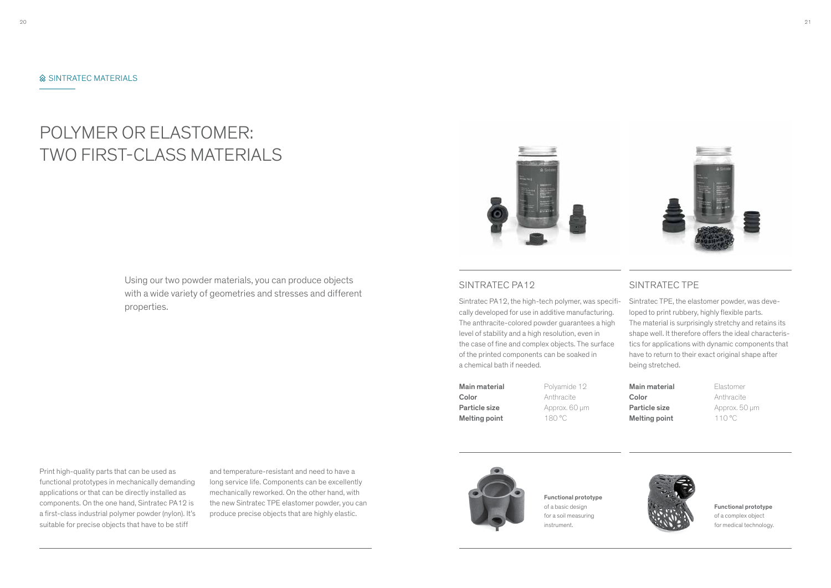# POLYMER OR ELASTOMER: TWO FIRST-CLASS MATERIALS

#### SINTRATEC PA12

Sintratec PA12, the high-tech polymer, was specifically developed for use in additive manufacturing. The anthracite-colored powder guarantees a high level of stability and a high resolution, even in the case of fine and complex objects. The surface of the printed components can be soaked in a chemical bath if needed.

Color **Anthracite** Particle size **Approx. 60 μm** Melting point 180 °C

**Main material** Polyamide 12

Functional prototype of a basic design for a soil measuring instrument.



Functional prototype of a complex object for medical technology.

Print high-quality parts that can be used as functional prototypes in mechanically demanding applications or that can be directly installed as components. On the one hand, Sintratec PA12 is a first-class industrial polymer powder (nylon). It's suitable for precise objects that have to be stiff

and temperature-resistant and need to have a long service life. Components can be excellently mechanically reworked. On the other hand, with the new Sintratec TPE elastomer powder, you can produce precise objects that are highly elastic.



Using our two powder materials, you can produce objects with a wide variety of geometries and stresses and different properties.



### SINTRATEC TPE

Sintratec TPE, the elastomer powder, was developed to print rubbery, highly flexible parts. The material is surprisingly stretchy and retains its shape well. It therefore offers the ideal characteristics for applications with dynamic components that have to return to their exact original shape after being stretched.

Main material **Elastomer** Color Anthracite Particle size **Approx.** 50 μm Melting point 110 °C

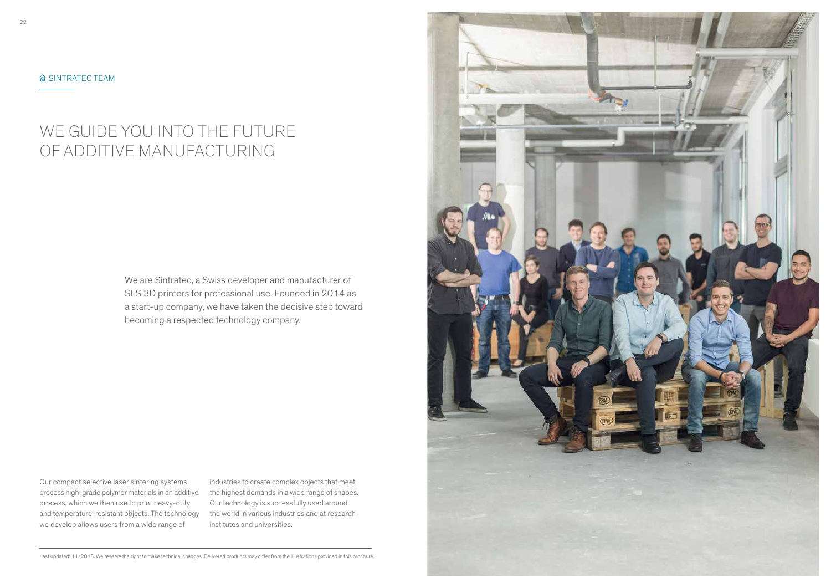# WE GUIDE YOU INTO THE FUTURE OF ADDITIVE MANUFACTURING

Our compact selective laser sintering systems process high-grade polymer materials in an additive process, which we then use to print heavy-duty and temperature-resistant objects. The technology we develop allows users from a wide range of

industries to create complex objects that meet the highest demands in a wide range of shapes. Our technology is successfully used around the world in various industries and at research institutes and universities.

We are Sintratec, a Swiss developer and manufacturer of SLS 3D printers for professional use. Founded in 2014 as a start-up company, we have taken the decisive step toward becoming a respected technology company.

Last updated: 11/2018. We reserve the right to make technical changes. Delivered products may differ from the illustrations provided in this brochure.